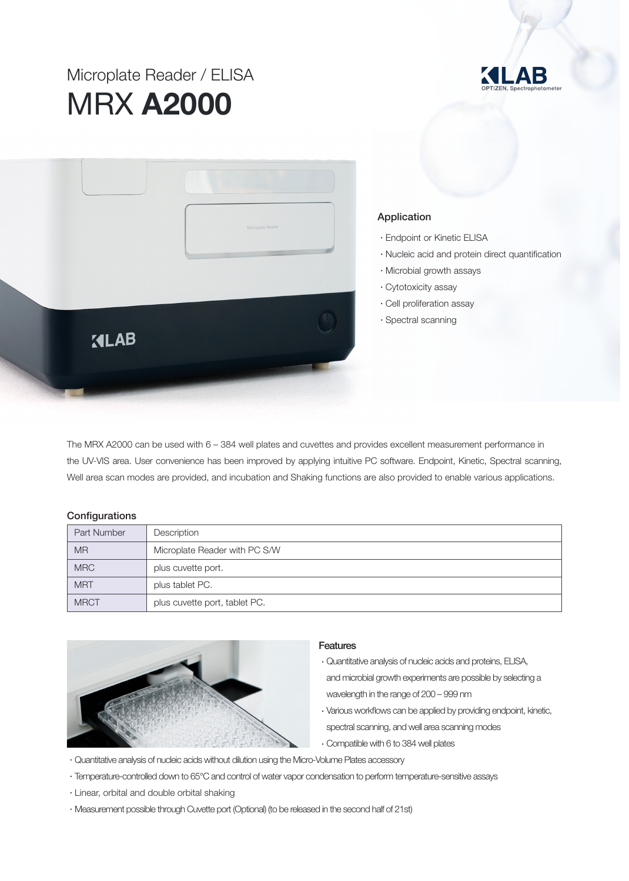# Microplate Reader / ELISA MRX A2000





### Application

- •Endpoint or Kinetic ELISA
- •Nucleic acid and protein direct quantification
- •Microbial growth assays
- •Cytotoxicity assay
- •Cell proliferation assay
- •Spectral scanning

The MRX A2000 can be used with 6 – 384 well plates and cuvettes and provides excellent measurement performance in the UV-VIS area. User convenience has been improved by applying intuitive PC software. Endpoint, Kinetic, Spectral scanning, Well area scan modes are provided, and incubation and Shaking functions are also provided to enable various applications.

#### **Configurations**

| Part Number | Description                   |
|-------------|-------------------------------|
| <b>MR</b>   | Microplate Reader with PC S/W |
| <b>MRC</b>  | plus cuvette port.            |
| <b>MRT</b>  | plus tablet PC.               |
| <b>MRCT</b> | plus cuvette port, tablet PC. |



#### **Features**

- •Quantitative analysis of nucleic acids and proteins, ELISA, and microbial growth experiments are possible by selecting a wavelength in the range of 200 – 999 nm
- •Various workflows can be applied by providing endpoint, kinetic, spectral scanning, and well area scanning modes
- •Compatible with 6 to 384 well plates
- •Quantitative analysis of nucleic acids without dilution using the Micro-Volume Plates accessory
- •Temperature-controlled down to 65°C and control of water vapor condensation to perform temperature-sensitive assays
- •Linear, orbital and double orbital shaking
- •Measurement possible through Cuvette port (Optional) (to be released in the second half of 21st)